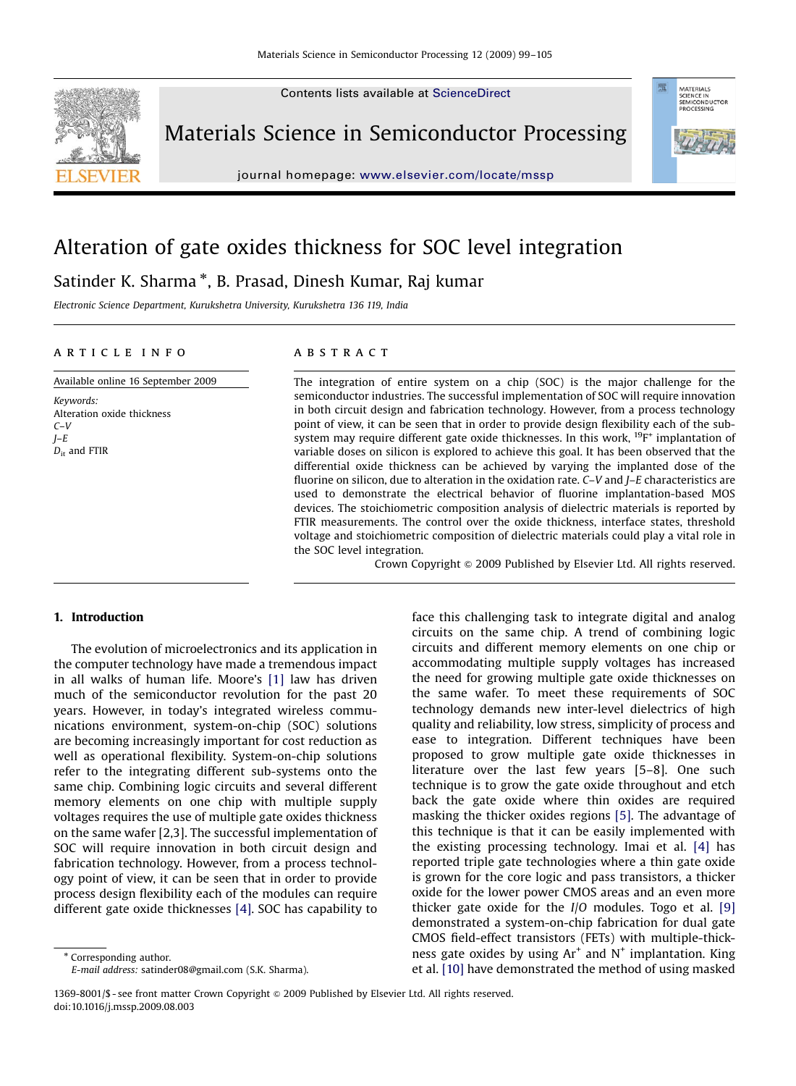Contents lists available at ScienceDirect



Materials Science in Semiconductor Processing



# MATERIALS CIENCE IN SEMICONDUCTOR<br>PROCESSING

# Alteration of gate oxides thickness for SOC level integration

# Satinder K. Sharma \*, B. Prasad, Dinesh Kumar, Raj kumar

Electronic Science Department, Kurukshetra University, Kurukshetra 136 119, India

## article info

Available online 16 September 2009

Keywords: Alteration oxide thickness  $C-V$ J–E  $D_{it}$  and FTIR

# **ABSTRACT**

The integration of entire system on a chip (SOC) is the major challenge for the semiconductor industries. The successful implementation of SOC will require innovation in both circuit design and fabrication technology. However, from a process technology point of view, it can be seen that in order to provide design flexibility each of the subsystem may require different gate oxide thicknesses. In this work,  $^{19}F^{+}$  implantation of variable doses on silicon is explored to achieve this goal. It has been observed that the differential oxide thickness can be achieved by varying the implanted dose of the fluorine on silicon, due to alteration in the oxidation rate. C–V and J–E characteristics are used to demonstrate the electrical behavior of fluorine implantation-based MOS devices. The stoichiometric composition analysis of dielectric materials is reported by FTIR measurements. The control over the oxide thickness, interface states, threshold voltage and stoichiometric composition of dielectric materials could play a vital role in the SOC level integration.

Crown Copyright @ 2009 Published by Elsevier Ltd. All rights reserved.

# 1. Introduction

The evolution of microelectronics and its application in the computer technology have made a tremendous impact in all walks of human life. Moore's [\[1\]](#page-5-0) law has driven much of the semiconductor revolution for the past 20 years. However, in today's integrated wireless communications environment, system-on-chip (SOC) solutions are becoming increasingly important for cost reduction as well as operational flexibility. System-on-chip solutions refer to the integrating different sub-systems onto the same chip. Combining logic circuits and several different memory elements on one chip with multiple supply voltages requires the use of multiple gate oxides thickness on the same wafer [2,3]. The successful implementation of SOC will require innovation in both circuit design and fabrication technology. However, from a process technology point of view, it can be seen that in order to provide process design flexibility each of the modules can require different gate oxide thicknesses [\[4\].](#page-5-0) SOC has capability to

\* Corresponding author. E-mail address: [satinder08@gmail.com \(S.K. Sharma\).](mailto:satinder08@gmail.com)

face this challenging task to integrate digital and analog circuits on the same chip. A trend of combining logic circuits and different memory elements on one chip or accommodating multiple supply voltages has increased the need for growing multiple gate oxide thicknesses on the same wafer. To meet these requirements of SOC technology demands new inter-level dielectrics of high quality and reliability, low stress, simplicity of process and ease to integration. Different techniques have been proposed to grow multiple gate oxide thicknesses in literature over the last few years [5–8]. One such technique is to grow the gate oxide throughout and etch back the gate oxide where thin oxides are required masking the thicker oxides regions [\[5\].](#page-5-0) The advantage of this technique is that it can be easily implemented with the existing processing technology. Imai et al. [\[4\]](#page-5-0) has reported triple gate technologies where a thin gate oxide is grown for the core logic and pass transistors, a thicker oxide for the lower power CMOS areas and an even more thicker gate oxide for the  $I/O$  modules. Togo et al. [\[9\]](#page-5-0) demonstrated a system-on-chip fabrication for dual gate CMOS field-effect transistors (FETs) with multiple-thickness gate oxides by using  $Ar^+$  and  $N^+$  implantation. King et al. [\[10\]](#page-6-0) have demonstrated the method of using masked

<sup>1369-8001/\$ -</sup> see front matter Crown Copyright & 2009 Published by Elsevier Ltd. All rights reserved. doi:[10.1016/j.mssp.2009.08.003](dx.doi.org/10.1016/j.mssp.2009.08.003)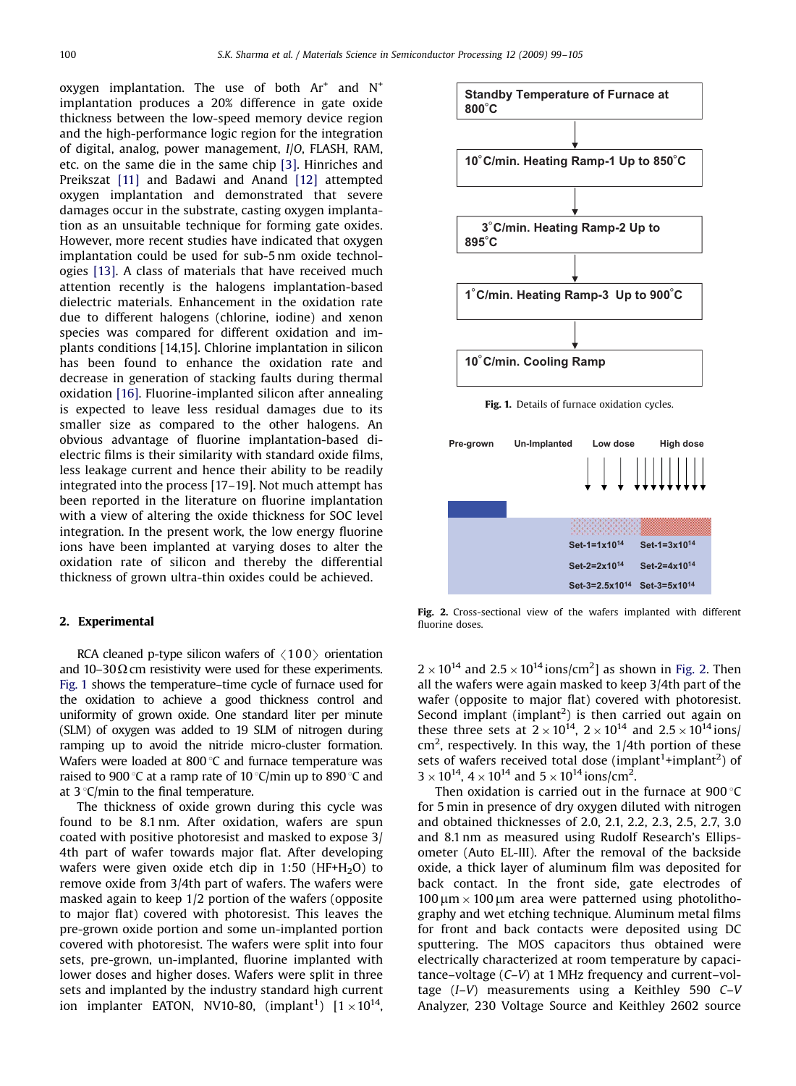<span id="page-1-0"></span>oxygen implantation. The use of both  $Ar^+$  and  $N^+$ implantation produces a 20% difference in gate oxide thickness between the low-speed memory device region and the high-performance logic region for the integration of digital, analog, power management, I/O, FLASH, RAM, etc. on the same die in the same chip [\[3\]](#page-5-0). Hinriches and Preikszat [\[11\]](#page-6-0) and Badawi and Anand [\[12\]](#page-6-0) attempted oxygen implantation and demonstrated that severe damages occur in the substrate, casting oxygen implantation as an unsuitable technique for forming gate oxides. However, more recent studies have indicated that oxygen implantation could be used for sub-5 nm oxide technologies [\[13\]](#page-6-0). A class of materials that have received much attention recently is the halogens implantation-based dielectric materials. Enhancement in the oxidation rate due to different halogens (chlorine, iodine) and xenon species was compared for different oxidation and implants conditions [14,15]. Chlorine implantation in silicon has been found to enhance the oxidation rate and decrease in generation of stacking faults during thermal oxidation [\[16\].](#page-6-0) Fluorine-implanted silicon after annealing is expected to leave less residual damages due to its smaller size as compared to the other halogens. An obvious advantage of fluorine implantation-based dielectric films is their similarity with standard oxide films, less leakage current and hence their ability to be readily integrated into the process [17–19]. Not much attempt has been reported in the literature on fluorine implantation with a view of altering the oxide thickness for SOC level integration. In the present work, the low energy fluorine ions have been implanted at varying doses to alter the oxidation rate of silicon and thereby the differential thickness of grown ultra-thin oxides could be achieved.

#### 2. Experimental

RCA cleaned p-type silicon wafers of  $\langle 100 \rangle$  orientation and 10–30 $\Omega$  cm resistivity were used for these experiments. Fig. 1 shows the temperature–time cycle of furnace used for the oxidation to achieve a good thickness control and uniformity of grown oxide. One standard liter per minute (SLM) of oxygen was added to 19 SLM of nitrogen during ramping up to avoid the nitride micro-cluster formation. Wafers were loaded at  $800^{\circ}$ C and furnace temperature was raised to 900 °C at a ramp rate of 10 °C/min up to 890 °C and at  $3^{\circ}$ C/min to the final temperature.

The thickness of oxide grown during this cycle was found to be 8.1 nm. After oxidation, wafers are spun coated with positive photoresist and masked to expose 3/ 4th part of wafer towards major flat. After developing wafers were given oxide etch dip in 1:50 ( $HF+H<sub>2</sub>O$ ) to remove oxide from 3/4th part of wafers. The wafers were masked again to keep 1/2 portion of the wafers (opposite to major flat) covered with photoresist. This leaves the pre-grown oxide portion and some un-implanted portion covered with photoresist. The wafers were split into four sets, pre-grown, un-implanted, fluorine implanted with lower doses and higher doses. Wafers were split in three sets and implanted by the industry standard high current ion implanter EATON, NV10-80, (implant<sup>1</sup>)  $[1 \times 10^{14}$ ,



Fig. 2. Cross-sectional view of the wafers implanted with different fluorine doses.

**Set-2=2x1014 Set-2=4x1014 Set-3=2.5x1014 Set-3=5x1014**

 $2 \times 10^{14}$  and  $2.5 \times 10^{14}$  ions/cm<sup>2</sup>] as shown in Fig. 2. Then all the wafers were again masked to keep 3/4th part of the wafer (opposite to major flat) covered with photoresist. Second implant (implant<sup>2</sup>) is then carried out again on these three sets at  $2 \times 10^{14}$ ,  $2 \times 10^{14}$  and  $2.5 \times 10^{14}$  ions/ cm<sup>2</sup>, respectively. In this way, the 1/4th portion of these sets of wafers received total dose (implant<sup>1</sup>+implant<sup>2</sup>) of  $3 \times 10^{14}$ ,  $4 \times 10^{14}$  and  $5 \times 10^{14}$  ions/cm<sup>2</sup>.

Then oxidation is carried out in the furnace at 900 $\degree$ C for 5 min in presence of dry oxygen diluted with nitrogen and obtained thicknesses of 2.0, 2.1, 2.2, 2.3, 2.5, 2.7, 3.0 and 8.1 nm as measured using Rudolf Research's Ellipsometer (Auto EL-III). After the removal of the backside oxide, a thick layer of aluminum film was deposited for back contact. In the front side, gate electrodes of  $100 \,\mu m \times 100 \,\mu m$  area were patterned using photolithography and wet etching technique. Aluminum metal films for front and back contacts were deposited using DC sputtering. The MOS capacitors thus obtained were electrically characterized at room temperature by capacitance–voltage (C–V) at 1 MHz frequency and current–voltage (I–V) measurements using a Keithley 590 C–V Analyzer, 230 Voltage Source and Keithley 2602 source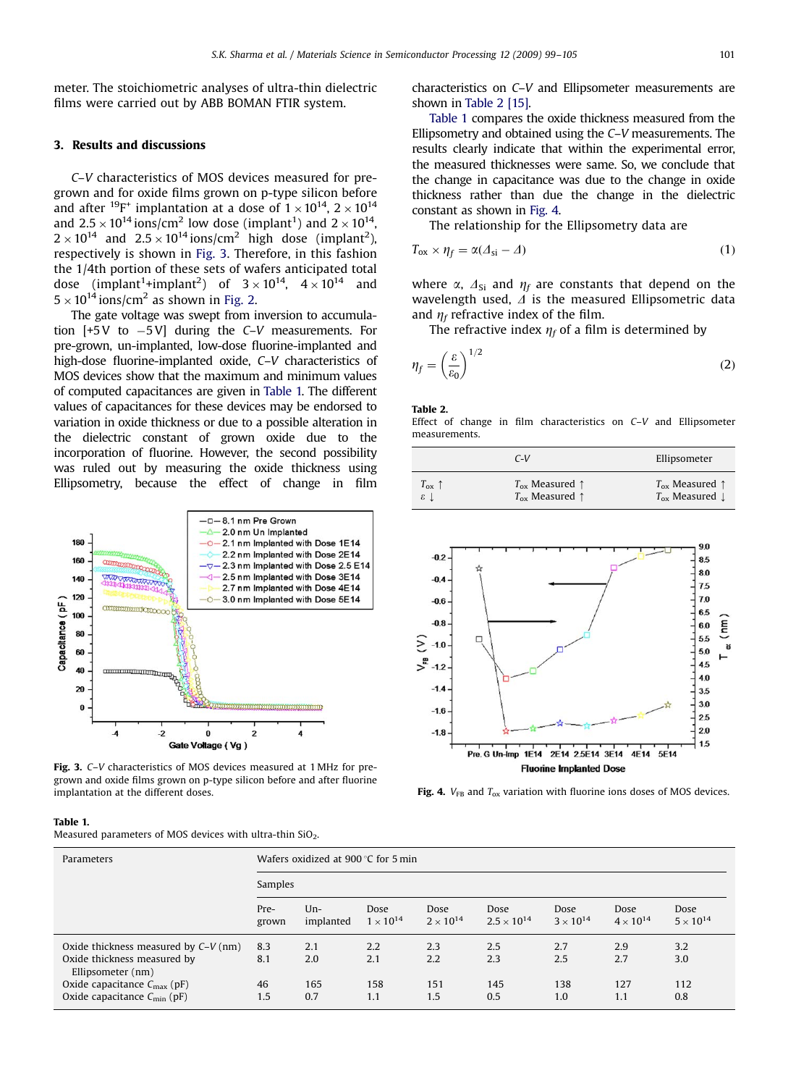<span id="page-2-0"></span>meter. The stoichiometric analyses of ultra-thin dielectric films were carried out by ABB BOMAN FTIR system.

#### 3. Results and discussions

C–V characteristics of MOS devices measured for pregrown and for oxide films grown on p-type silicon before and after  $^{19}{\rm F}^{+}$  implantation at a dose of  $1\times 10^{14}$ ,  $2\times 10^{14}$ and 2.5  $\times$  10<sup>14</sup> ions/cm<sup>2</sup> low dose (implant<sup>1</sup>) and 2  $\times$  10<sup>14</sup>,  $2 \times 10^{14}$  and  $2.5 \times 10^{14}$ ions/cm<sup>2</sup> high dose (implant<sup>2</sup>), respectively is shown in Fig. 3. Therefore, in this fashion the 1/4th portion of these sets of wafers anticipated total dose (implant $^1$ +implant $^2)$  of 3 $\times10^{14}$ , 4 $\times10^{14}$  and  $5 \times 10^{14}$  ions/cm<sup>2</sup> as shown in [Fig. 2](#page-1-0).

The gate voltage was swept from inversion to accumulation  $[+5V$  to  $-5V$ ] during the C–V measurements. For pre-grown, un-implanted, low-dose fluorine-implanted and high-dose fluorine-implanted oxide, C–V characteristics of MOS devices show that the maximum and minimum values of computed capacitances are given in Table 1. The different values of capacitances for these devices may be endorsed to variation in oxide thickness or due to a possible alteration in the dielectric constant of grown oxide due to the incorporation of fluorine. However, the second possibility was ruled out by measuring the oxide thickness using Ellipsometry, because the effect of change in film



Fig. 3. C-V characteristics of MOS devices measured at 1 MHz for pregrown and oxide films grown on p-type silicon before and after fluorine implantation at the different doses.

## Table 1.

Measured parameters of MOS devices with ultra-thin SiO<sub>2</sub>.

characteristics on C–V and Ellipsometer measurements are shown in Table 2 [\[15\].](#page-6-0)

Table 1 compares the oxide thickness measured from the Ellipsometry and obtained using the C–V measurements. The results clearly indicate that within the experimental error, the measured thicknesses were same. So, we conclude that the change in capacitance was due to the change in oxide thickness rather than due the change in the dielectric constant as shown in Fig. 4.

The relationship for the Ellipsometry data are

$$
T_{\text{ox}} \times \eta_f = \alpha (\Delta_{\text{si}} - \Delta) \tag{1}
$$

where  $\alpha$ ,  $\Delta_{\text{Si}}$  and  $\eta_f$  are constants that depend on the wavelength used,  $\Delta$  is the measured Ellipsometric data and  $\eta_f$  refractive index of the film.

The refractive index  $\eta_f$  of a film is determined by

$$
\eta_f = \left(\frac{\varepsilon}{\varepsilon_0}\right)^{1/2} \tag{2}
$$

Table 2.

Effect of change in film characteristics on C–V and Ellipsometer measurements.

|                | $C-V$                            | Ellipsometer                       |
|----------------|----------------------------------|------------------------------------|
| $T_{\rm ox}$ 1 | $T_{\rm ox}$ Measured $\uparrow$ | $T_{\rm ox}$ Measured $\uparrow$   |
| ε              | $T_{\rm ox}$ Measured $\uparrow$ | $T_{\rm ox}$ Measured $\downarrow$ |



Fig. 4.  $V_{FB}$  and  $T_{ox}$  variation with fluorine ions doses of MOS devices.

| Parameters                                                                         | Wafers oxidized at 900 $\degree$ C for 5 min<br>Samples |                    |                            |                            |                              |                            |                            |                            |  |
|------------------------------------------------------------------------------------|---------------------------------------------------------|--------------------|----------------------------|----------------------------|------------------------------|----------------------------|----------------------------|----------------------------|--|
|                                                                                    |                                                         |                    |                            |                            |                              |                            |                            |                            |  |
|                                                                                    | Pre-<br>grown                                           | $Un-$<br>implanted | Dose<br>$1 \times 10^{14}$ | Dose<br>$2 \times 10^{14}$ | Dose<br>$2.5 \times 10^{14}$ | Dose<br>$3 \times 10^{14}$ | Dose<br>$4 \times 10^{14}$ | Dose<br>$5 \times 10^{14}$ |  |
| Oxide thickness measured by $C-V(nm)$                                              | 8.3                                                     | 2.1                | 2.2                        | 2.3                        | 2.5                          | 2.7                        | 2.9                        | 3.2                        |  |
| Oxide thickness measured by<br>Ellipsometer (nm)                                   | 8.1                                                     | 2.0                | 2.1                        | 2.2                        | 2.3                          | 2.5                        | 2.7                        | 3.0                        |  |
| Oxide capacitance $C_{\text{max}}$ (pF)<br>Oxide capacitance $C_{\text{min}}$ (pF) | 46<br>1.5                                               | 165<br>0.7         | 158<br>1.1                 | 151<br>1.5                 | 145<br>0.5                   | 138<br>1.0                 | 127<br>1.1                 | 112<br>0.8                 |  |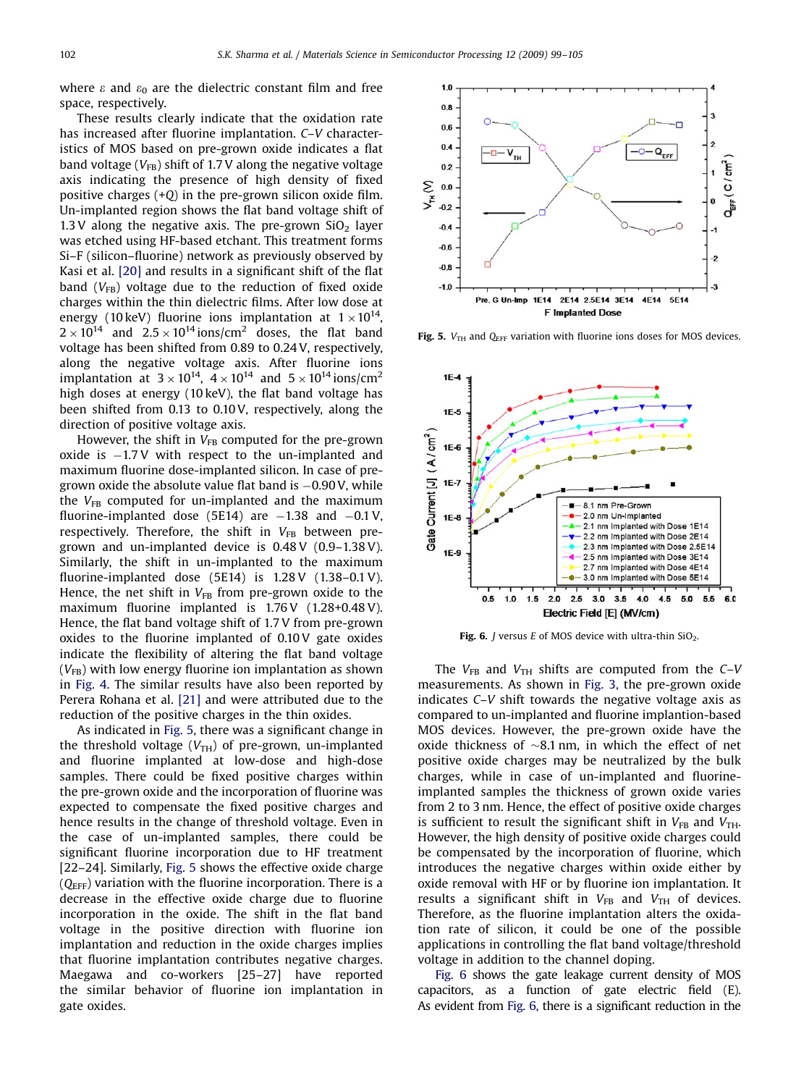where  $\varepsilon$  and  $\varepsilon_0$  are the dielectric constant film and free space, respectively.

These results clearly indicate that the oxidation rate has increased after fluorine implantation. C–V characteristics of MOS based on pre-grown oxide indicates a flat band voltage ( $V_{FB}$ ) shift of 1.7 V along the negative voltage axis indicating the presence of high density of fixed positive charges (+Q) in the pre-grown silicon oxide film. Un-implanted region shows the flat band voltage shift of 1.3 V along the negative axis. The pre-grown  $SiO<sub>2</sub>$  layer was etched using HF-based etchant. This treatment forms Si–F (silicon–fluorine) network as previously observed by Kasi et al. [\[20\]](#page-6-0) and results in a significant shift of the flat band  $(V_{FB})$  voltage due to the reduction of fixed oxide charges within the thin dielectric films. After low dose at energy (10 keV) fluorine ions implantation at  $1 \times 10^{14}$ ,  $2 \times 10^{14}$  and  $2.5 \times 10^{14}$ ions/cm<sup>2</sup> doses, the flat band voltage has been shifted from 0.89 to 0.24 V, respectively, along the negative voltage axis. After fluorine ions implantation at  $3 \times 10^{14}$ ,  $4 \times 10^{14}$  and  $5 \times 10^{14}$ ions/cm<sup>2</sup> high doses at energy (10 keV), the flat band voltage has been shifted from 0.13 to 0.10 V, respectively, along the direction of positive voltage axis.

However, the shift in  $V_{FB}$  computed for the pre-grown oxide is  $-1.7$  V with respect to the un-implanted and maximum fluorine dose-implanted silicon. In case of pregrown oxide the absolute value flat band is  $-0.90$  V, while the  $V_{FB}$  computed for un-implanted and the maximum fluorine-implanted dose (5E14) are  $-1.38$  and  $-0.1$  V, respectively. Therefore, the shift in  $V_{FB}$  between pregrown and un-implanted device is 0.48 V (0.9–1.38 V). Similarly, the shift in un-implanted to the maximum fluorine-implanted dose  $(5E14)$  is  $1.28$  V  $(1.38-0.1$  V). Hence, the net shift in  $V_{FB}$  from pre-grown oxide to the maximum fluorine implanted is 1.76 V (1.28+0.48 V). Hence, the flat band voltage shift of 1.7 V from pre-grown oxides to the fluorine implanted of 0.10 V gate oxides indicate the flexibility of altering the flat band voltage  $(V_{FB})$  with low energy fluorine ion implantation as shown in [Fig. 4](#page-2-0). The similar results have also been reported by Perera Rohana et al. [\[21\]](#page-6-0) and were attributed due to the reduction of the positive charges in the thin oxides.

As indicated in Fig. 5, there was a significant change in the threshold voltage  $(V<sub>TH</sub>)$  of pre-grown, un-implanted and fluorine implanted at low-dose and high-dose samples. There could be fixed positive charges within the pre-grown oxide and the incorporation of fluorine was expected to compensate the fixed positive charges and hence results in the change of threshold voltage. Even in the case of un-implanted samples, there could be significant fluorine incorporation due to HF treatment [22–24]. Similarly, Fig. 5 shows the effective oxide charge  $(Q_{\text{FFF}})$  variation with the fluorine incorporation. There is a decrease in the effective oxide charge due to fluorine incorporation in the oxide. The shift in the flat band voltage in the positive direction with fluorine ion implantation and reduction in the oxide charges implies that fluorine implantation contributes negative charges. Maegawa and co-workers [25–27] have reported the similar behavior of fluorine ion implantation in gate oxides.



Fig. 5.  $V<sub>TH</sub>$  and  $Q<sub>EFF</sub>$  variation with fluorine ions doses for MOS devices.



Fig. 6. *J* versus *E* of MOS device with ultra-thin  $SiO<sub>2</sub>$ .

The  $V_{FB}$  and  $V_{TH}$  shifts are computed from the C–V measurements. As shown in [Fig. 3,](#page-2-0) the pre-grown oxide indicates C–V shift towards the negative voltage axis as compared to un-implanted and fluorine implantion-based MOS devices. However, the pre-grown oxide have the oxide thickness of  $\sim$ 8.1 nm, in which the effect of net positive oxide charges may be neutralized by the bulk charges, while in case of un-implanted and fluorineimplanted samples the thickness of grown oxide varies from 2 to 3 nm. Hence, the effect of positive oxide charges is sufficient to result the significant shift in  $V_{FB}$  and  $V_{TH}$ . However, the high density of positive oxide charges could be compensated by the incorporation of fluorine, which introduces the negative charges within oxide either by oxide removal with HF or by fluorine ion implantation. It results a significant shift in  $V_{FB}$  and  $V_{TH}$  of devices. Therefore, as the fluorine implantation alters the oxidation rate of silicon, it could be one of the possible applications in controlling the flat band voltage/threshold voltage in addition to the channel doping.

Fig. 6 shows the gate leakage current density of MOS capacitors, as a function of gate electric field (E). As evident from Fig. 6, there is a significant reduction in the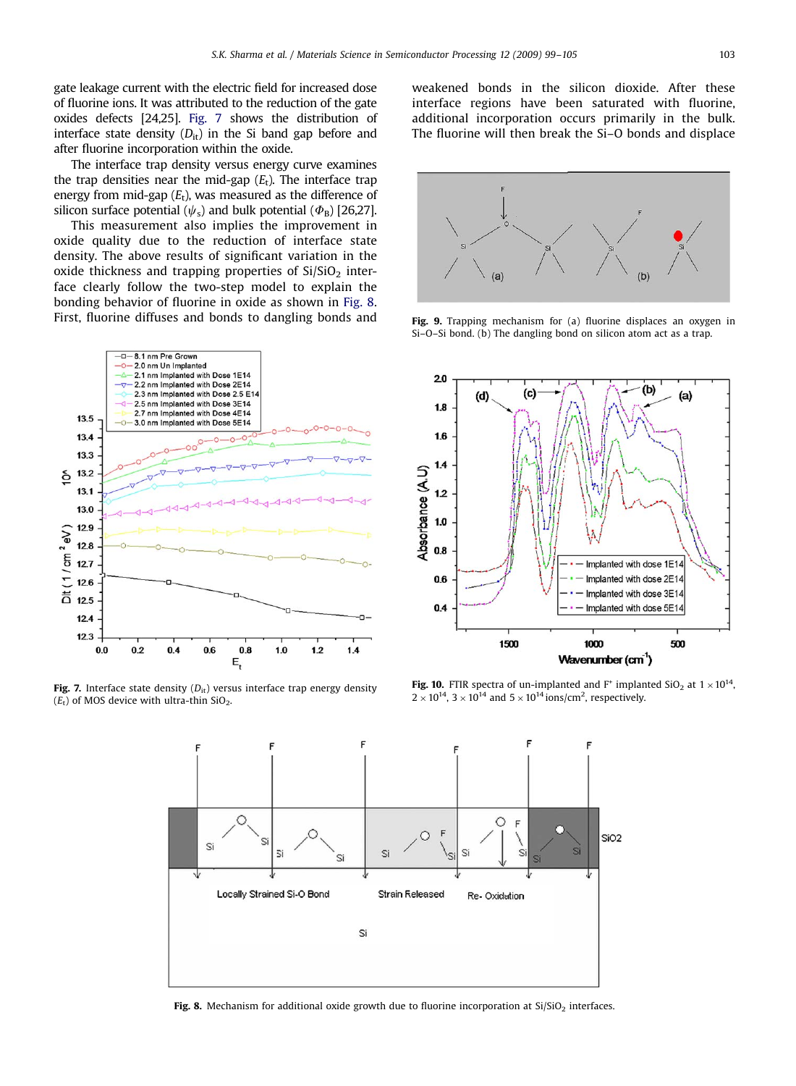<span id="page-4-0"></span>gate leakage current with the electric field for increased dose of fluorine ions. It was attributed to the reduction of the gate oxides defects [24,25]. Fig. 7 shows the distribution of interface state density  $(D_{it})$  in the Si band gap before and after fluorine incorporation within the oxide.

The interface trap density versus energy curve examines the trap densities near the mid-gap  $(E_t)$ . The interface trap energy from mid-gap  $(E_t)$ , was measured as the difference of silicon surface potential ( $\psi$ <sub>s</sub>) and bulk potential ( $\Phi$ <sub>B</sub>) [26,27].

This measurement also implies the improvement in oxide quality due to the reduction of interface state density. The above results of significant variation in the oxide thickness and trapping properties of  $Si/SiO<sub>2</sub>$  interface clearly follow the two-step model to explain the bonding behavior of fluorine in oxide as shown in Fig. 8. First, fluorine diffuses and bonds to dangling bonds and



**Fig. 7.** Interface state density  $(D_{it})$  versus interface trap energy density  $(E_t)$  of MOS device with ultra-thin SiO<sub>2</sub>.

weakened bonds in the silicon dioxide. After these interface regions have been saturated with fluorine, additional incorporation occurs primarily in the bulk. The fluorine will then break the Si–O bonds and displace



Fig. 9. Trapping mechanism for (a) fluorine displaces an oxygen in Si–O–Si bond. (b) The dangling bond on silicon atom act as a trap.



**Fig. 10.** FTIR spectra of un-implanted and F<sup>+</sup> implanted SiO<sub>2</sub> at  $1 \times 10^{14}$ ,  $2 \times 10^{14}$ ,  $3 \times 10^{14}$  and  $5 \times 10^{14}$  ions/cm<sup>2</sup>, respectively.



Fig. 8. Mechanism for additional oxide growth due to fluorine incorporation at  $Si/SiO<sub>2</sub>$  interfaces.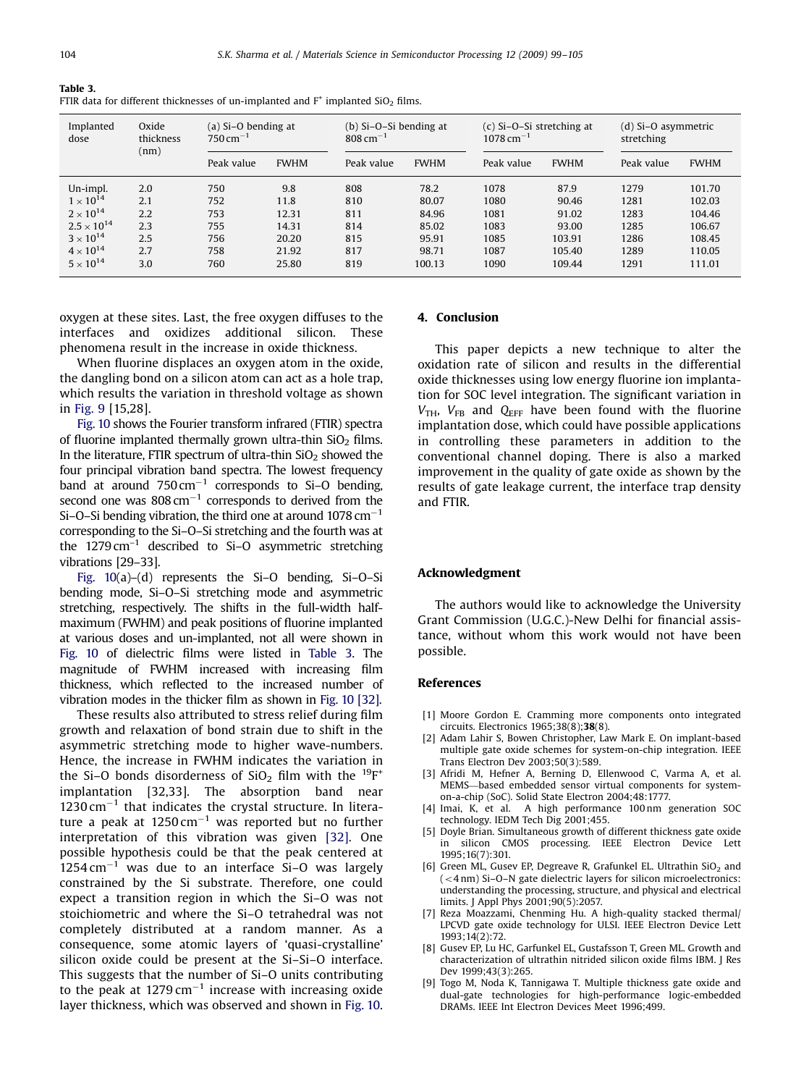| Oxide<br>Implanted<br>thickness<br>dose<br>(nm) |     | (a) Si–O bending at<br>$750 \,\mathrm{cm}^{-1}$ |             | $(b)$ Si-O-Si bending at<br>$808 \,\mathrm{cm}^{-1}$ |             | $(c)$ Si-O-Si stretching at<br>$1078 \text{ cm}^{-1}$ |             | (d) Si-O asymmetric<br>stretching |             |
|-------------------------------------------------|-----|-------------------------------------------------|-------------|------------------------------------------------------|-------------|-------------------------------------------------------|-------------|-----------------------------------|-------------|
|                                                 |     | Peak value                                      | <b>FWHM</b> | Peak value                                           | <b>FWHM</b> | Peak value                                            | <b>FWHM</b> | Peak value                        | <b>FWHM</b> |
| Un-impl.                                        | 2.0 | 750                                             | 9.8         | 808                                                  | 78.2        | 1078                                                  | 87.9        | 1279                              | 101.70      |
| $1 \times 10^{14}$                              | 2.1 | 752                                             | 11.8        | 810                                                  | 80.07       | 1080                                                  | 90.46       | 1281                              | 102.03      |
| $2 \times 10^{14}$                              | 2.2 | 753                                             | 12.31       | 811                                                  | 84.96       | 1081                                                  | 91.02       | 1283                              | 104.46      |
| $2.5 \times 10^{14}$                            | 2.3 | 755                                             | 14.31       | 814                                                  | 85.02       | 1083                                                  | 93.00       | 1285                              | 106.67      |
| $3 \times 10^{14}$                              | 2.5 | 756                                             | 20.20       | 815                                                  | 95.91       | 1085                                                  | 103.91      | 1286                              | 108.45      |
| $4 \times 10^{14}$                              | 2.7 | 758                                             | 21.92       | 817                                                  | 98.71       | 1087                                                  | 105.40      | 1289                              | 110.05      |
| $5 \times 10^{14}$                              | 3.0 | 760                                             | 25.80       | 819                                                  | 100.13      | 1090                                                  | 109.44      | 1291                              | 111.01      |

| Tapic 3.                                                                                        |  |  |  |
|-------------------------------------------------------------------------------------------------|--|--|--|
| FTIR data for different thicknesses of un-implanted and $F^+$ implanted SiO <sub>2</sub> films. |  |  |  |

oxygen at these sites. Last, the free oxygen diffuses to the interfaces and oxidizes additional silicon. These phenomena result in the increase in oxide thickness.

When fluorine displaces an oxygen atom in the oxide, the dangling bond on a silicon atom can act as a hole trap, which results the variation in threshold voltage as shown in [Fig. 9](#page-4-0) [15,28].

[Fig. 10](#page-4-0) shows the Fourier transform infrared (FTIR) spectra of fluorine implanted thermally grown ultra-thin  $SiO<sub>2</sub>$  films. In the literature, FTIR spectrum of ultra-thin  $SiO<sub>2</sub>$  showed the four principal vibration band spectra. The lowest frequency band at around  $750 \text{ cm}^{-1}$  corresponds to Si-O bending, second one was  $808 \text{ cm}^{-1}$  corresponds to derived from the Si–O–Si bending vibration, the third one at around  $1078 \text{ cm}^{-1}$ corresponding to the Si–O–Si stretching and the fourth was at the  $1279 \text{ cm}^{-1}$  described to Si-O asymmetric stretching vibrations [29–33].

[Fig. 10\(](#page-4-0)a)–(d) represents the Si–O bending, Si–O–Si bending mode, Si–O–Si stretching mode and asymmetric stretching, respectively. The shifts in the full-width halfmaximum (FWHM) and peak positions of fluorine implanted at various doses and un-implanted, not all were shown in [Fig. 10](#page-4-0) of dielectric films were listed in Table 3. The magnitude of FWHM increased with increasing film thickness, which reflected to the increased number of vibration modes in the thicker film as shown in [Fig. 10](#page-4-0) [\[32\]](#page-6-0).

These results also attributed to stress relief during film growth and relaxation of bond strain due to shift in the asymmetric stretching mode to higher wave-numbers. Hence, the increase in FWHM indicates the variation in the Si-O bonds disorderness of SiO<sub>2</sub> film with the <sup>19</sup>F<sup>+</sup> implantation [32,33]. The absorption band near  $1230 \text{ cm}^{-1}$  that indicates the crystal structure. In literature a peak at  $1250 \text{ cm}^{-1}$  was reported but no further interpretation of this vibration was given [\[32\].](#page-6-0) One possible hypothesis could be that the peak centered at  $1254 \text{ cm}^{-1}$  was due to an interface Si-O was largely constrained by the Si substrate. Therefore, one could expect a transition region in which the Si–O was not stoichiometric and where the Si–O tetrahedral was not completely distributed at a random manner. As a consequence, some atomic layers of 'quasi-crystalline' silicon oxide could be present at the Si–Si–O interface. This suggests that the number of Si–O units contributing to the peak at  $1279 \text{ cm}^{-1}$  increase with increasing oxide layer thickness, which was observed and shown in [Fig. 10](#page-4-0).

## 4. Conclusion

This paper depicts a new technique to alter the oxidation rate of silicon and results in the differential oxide thicknesses using low energy fluorine ion implantation for SOC level integration. The significant variation in  $V_{TH}$ ,  $V_{FB}$  and  $Q_{EFF}$  have been found with the fluorine implantation dose, which could have possible applications in controlling these parameters in addition to the conventional channel doping. There is also a marked improvement in the quality of gate oxide as shown by the results of gate leakage current, the interface trap density and FTIR.

# Acknowledgment

The authors would like to acknowledge the University Grant Commission (U.G.C.)-New Delhi for financial assistance, without whom this work would not have been possible.

#### **References**

- [1] Moore Gordon E. Cramming more components onto integrated circuits. Electronics 1965;38(8);38(8).
- [2] Adam Lahir S, Bowen Christopher, Law Mark E. On implant-based multiple gate oxide schemes for system-on-chip integration. IEEE Trans Electron Dev 2003;50(3):589.
- [3] Afridi M, Hefner A, Berning D, Ellenwood C, Varma A, et al. MEMS—based embedded sensor virtual components for systemon-a-chip (SoC). Solid State Electron 2004;48:1777.
- [4] Imai, K, et al. A high performance 100 nm generation SOC technology. IEDM Tech Dig 2001;455.
- [5] Doyle Brian. Simultaneous growth of different thickness gate oxide in silicon CMOS processing. IEEE Electron Device Lett 1995;16(7):301.
- [6] Green ML, Gusev EP, Degreave R, Grafunkel EL. Ultrathin  $SiO<sub>2</sub>$  and (<4 nm) Si-O-N gate dielectric layers for silicon microelectronics: understanding the processing, structure, and physical and electrical limits. J Appl Phys 2001;90(5):2057.
- [7] Reza Moazzami, Chenming Hu. A high-quality stacked thermal/ LPCVD gate oxide technology for ULSI. IEEE Electron Device Lett 1993;14(2):72.
- [8] Gusev EP, Lu HC, Garfunkel EL, Gustafsson T, Green ML. Growth and characterization of ultrathin nitrided silicon oxide films IBM. J Res Dev 1999;43(3):265.
- [9] Togo M, Noda K, Tannigawa T. Multiple thickness gate oxide and dual-gate technologies for high-performance logic-embedded DRAMs. IEEE Int Electron Devices Meet 1996;499.

<span id="page-5-0"></span>Table 3.